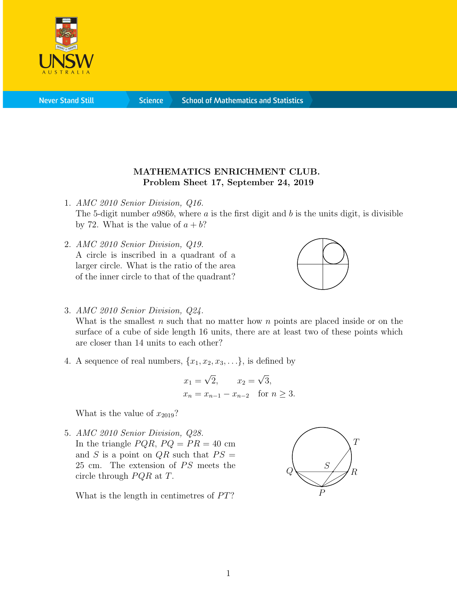

## MATHEMATICS ENRICHMENT CLUB. Problem Sheet 17, September 24, 2019

- 1. AMC 2010 Senior Division, Q16. The 5-digit number  $a986b$ , where a is the first digit and b is the units digit, is divisible by 72. What is the value of  $a + b$ ?
- 2. AMC 2010 Senior Division, Q19. A circle is inscribed in a quadrant of a larger circle. What is the ratio of the area of the inner circle to that of the quadrant?



3. AMC 2010 Senior Division, Q24.

What is the smallest  $n$  such that no matter how  $n$  points are placed inside or on the surface of a cube of side length 16 units, there are at least two of these points which are closer than 14 units to each other?

4. A sequence of real numbers,  $\{x_1, x_2, x_3, \ldots\}$ , is defined by

$$
x_1 = \sqrt{2}
$$
,  $x_2 = \sqrt{3}$ ,  
\n $x_n = x_{n-1} - x_{n-2}$  for  $n \ge 3$ .

What is the value of  $x_{2019}$ ?

5. AMC 2010 Senior Division, Q28. In the triangle  $PQR$ ,  $PQ = PR = 40$  cm and S is a point on  $QR$  such that  $PS =$  $25$  cm. The extension of  $PS$  meets the circle through  $PQR$  at T.